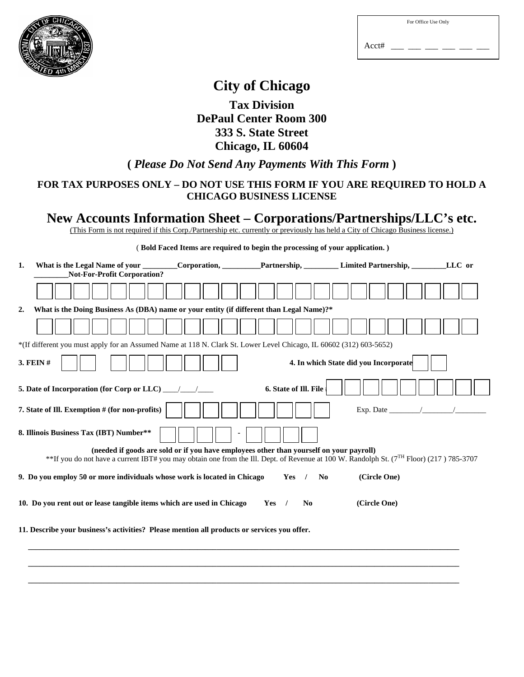

|  | For Office Use Only |
|--|---------------------|
|  |                     |

Acct# \_\_\_ \_\_\_ \_\_\_ \_\_\_ \_\_\_ \_\_\_

## **City of Chicago**

**Tax Division DePaul Center Room 300 333 S. State Street Chicago, IL 60604** 

**(** *Please Do Not Send Any Payments With This Form* **)** 

## **FOR TAX PURPOSES ONLY – DO NOT USE THIS FORM IF YOU ARE REQUIRED TO HOLD A CHICAGO BUSINESS LICENSE**

## **New Accounts Information Sheet – Corporations/Partnerships/LLC's etc.**

(This Form is not required if this Corp./Partnership etc. currently or previously has held a City of Chicago Business license.)

| (Bold Faced Items are required to begin the processing of your application.)                                                                                                                                                                   |  |                                   |                                       |        |
|------------------------------------------------------------------------------------------------------------------------------------------------------------------------------------------------------------------------------------------------|--|-----------------------------------|---------------------------------------|--------|
| What is the Legal Name of your Corporation, Partnership, Limited Partnership,<br>1.<br><b>Not-For-Profit Corporation?</b>                                                                                                                      |  |                                   |                                       | LLC or |
|                                                                                                                                                                                                                                                |  |                                   |                                       |        |
| What is the Doing Business As (DBA) name or your entity (if different than Legal Name)?*<br>2.                                                                                                                                                 |  |                                   |                                       |        |
|                                                                                                                                                                                                                                                |  |                                   |                                       |        |
| *(If different you must apply for an Assumed Name at 118 N. Clark St. Lower Level Chicago, IL 60602 (312) 603-5652)                                                                                                                            |  |                                   |                                       |        |
| 3. FEIN #                                                                                                                                                                                                                                      |  |                                   | 4. In which State did you Incorporate |        |
|                                                                                                                                                                                                                                                |  | 6. State of Ill. File             |                                       |        |
| 7. State of Ill. Exemption # (for non-profits)                                                                                                                                                                                                 |  |                                   |                                       |        |
| 8. Illinois Business Tax (IBT) Number**                                                                                                                                                                                                        |  |                                   |                                       |        |
| (needed if goods are sold or if you have employees other than yourself on your payroll)<br>**If you do not have a current IBT# you may obtain one from the Ill. Dept. of Revenue at 100 W. Randolph St. (7 <sup>TH</sup> Floor) (217) 785-3707 |  |                                   |                                       |        |
| 9. Do you employ 50 or more individuals whose work is located in Chicago                                                                                                                                                                       |  | N <sub>0</sub><br>$Yes$ /         | (Circle One)                          |        |
| 10. Do you rent out or lease tangible items which are used in Chicago                                                                                                                                                                          |  | $Yes$ /<br>$\mathbf{N}\mathbf{0}$ | (Circle One)                          |        |
| 11. Describe your business's activities? Please mention all products or services you offer.                                                                                                                                                    |  |                                   |                                       |        |
|                                                                                                                                                                                                                                                |  |                                   |                                       |        |

 **\_\_\_\_\_\_\_\_\_\_\_\_\_\_\_\_\_\_\_\_\_\_\_\_\_\_\_\_\_\_\_\_\_\_\_\_\_\_\_\_\_\_\_\_\_\_\_\_\_\_\_\_\_\_\_\_\_\_\_\_\_\_\_\_\_\_\_\_\_\_\_\_\_\_\_\_\_\_\_\_\_\_\_\_\_\_\_\_\_\_\_\_\_\_\_\_\_\_\_\_\_\_\_\_\_\_\_\_\_\_\_\_**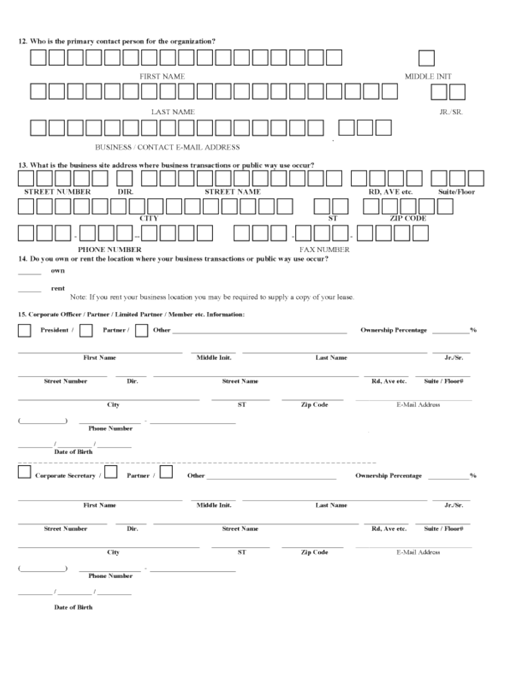12. Who is the primary contact person for the organization?

|                                                                                                                     | FIRST NAME                                                                                                                                      |                         |                             | <b>MIDDLE INIT</b> |
|---------------------------------------------------------------------------------------------------------------------|-------------------------------------------------------------------------------------------------------------------------------------------------|-------------------------|-----------------------------|--------------------|
|                                                                                                                     |                                                                                                                                                 |                         |                             |                    |
|                                                                                                                     | <b>LAST NAME</b>                                                                                                                                |                         |                             | JR./SR.            |
|                                                                                                                     | BUSINESS / CONTACT E-MAIL ADDRESS                                                                                                               |                         |                             |                    |
|                                                                                                                     |                                                                                                                                                 |                         |                             |                    |
| 13. What is the business site address where business transactions or public way use occur?<br>STREET NUMBER<br>DIR. | <b>STREET NAME</b>                                                                                                                              |                         | RD, AVE etc.                | Suite/Floor        |
| CITY<br>PHONE NUMBER                                                                                                |                                                                                                                                                 | ST<br><b>FAX NUMBER</b> | <b>ZIP CODE</b>             |                    |
| 14. Do you own or rent the location where your business transactions or public way use occur?                       |                                                                                                                                                 |                         |                             |                    |
| own                                                                                                                 |                                                                                                                                                 |                         |                             |                    |
| rent                                                                                                                | Note: If you rent your business location you may be required to supply a copy of your lease.                                                    |                         |                             |                    |
| 15. Corporate Officer / Partner / Limited Partner / Member etc. Information:                                        |                                                                                                                                                 |                         |                             |                    |
| President /<br>Partner /                                                                                            | Other<br>the control of the control of the control of                                                                                           |                         | <b>Ownership Percentage</b> | 96                 |
| <b>First Name</b>                                                                                                   | Middle Init.                                                                                                                                    | <b>Last Name</b>        |                             | Jr./Sr.            |
| <b>Street Number</b><br>Dir.                                                                                        | <b>Street Name</b>                                                                                                                              |                         | Rd, Ave etc.                | Suite / Floor#     |
| City                                                                                                                | sт                                                                                                                                              | Zip Code                |                             | E-Mail Address     |
|                                                                                                                     |                                                                                                                                                 |                         |                             |                    |
| <b>Phone Number</b>                                                                                                 |                                                                                                                                                 |                         |                             |                    |
| <b>Date of Birth</b>                                                                                                |                                                                                                                                                 |                         |                             |                    |
| Partner /<br><b>Corporate Secretary</b>                                                                             | ------------------------------<br>Other and the contract of the contract of the contract of the contract of the contract of the contract of the |                         | <b>Ownership Percentage</b> | 94                 |
| <b>First Name</b>                                                                                                   | Middle Init.                                                                                                                                    | <b>Last Name</b>        |                             | Jr./Sr.            |
|                                                                                                                     |                                                                                                                                                 |                         |                             |                    |
| <b>Street Number</b><br>Dir.                                                                                        | <b>Street Name</b>                                                                                                                              |                         | Rd, Ave etc.                | Suite / Floor#     |
| City                                                                                                                | ST                                                                                                                                              | Zip Code                |                             | E-Mail Address     |
| <b>Phone Number</b>                                                                                                 |                                                                                                                                                 |                         |                             |                    |
|                                                                                                                     |                                                                                                                                                 |                         |                             |                    |
|                                                                                                                     |                                                                                                                                                 |                         |                             |                    |
| <b>Date of Birth</b>                                                                                                |                                                                                                                                                 |                         |                             |                    |